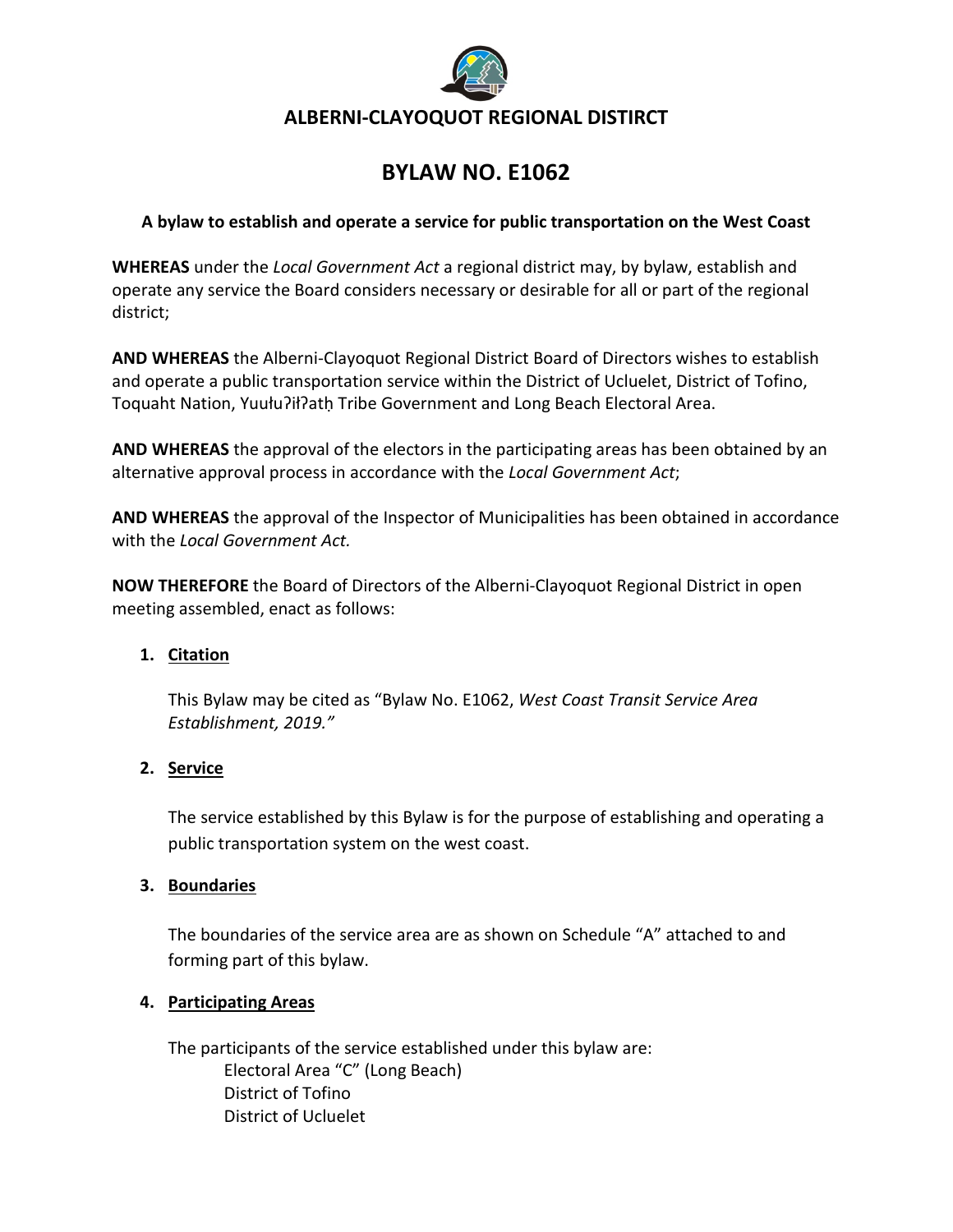

# **BYLAW NO. E1062**

### **A bylaw to establish and operate a service for public transportation on the West Coast**

**WHEREAS** under the *Local Government Act* a regional district may, by bylaw, establish and operate any service the Board considers necessary or desirable for all or part of the regional district;

**AND WHEREAS** the Alberni-Clayoquot Regional District Board of Directors wishes to establish and operate a public transportation service within the District of Ucluelet, District of Tofino, Toquaht Nation, Yuułuʔiłʔatḥ Tribe Government and Long Beach Electoral Area.

**AND WHEREAS** the approval of the electors in the participating areas has been obtained by an alternative approval process in accordance with the *Local Government Act*;

**AND WHEREAS** the approval of the Inspector of Municipalities has been obtained in accordance with the *Local Government Act.*

**NOW THEREFORE** the Board of Directors of the Alberni-Clayoquot Regional District in open meeting assembled, enact as follows:

#### **1. Citation**

This Bylaw may be cited as "Bylaw No. E1062, *West Coast Transit Service Area Establishment, 2019."*

#### **2. Service**

The service established by this Bylaw is for the purpose of establishing and operating a public transportation system on the west coast.

#### **3. Boundaries**

The boundaries of the service area are as shown on Schedule "A" attached to and forming part of this bylaw.

#### **4. Participating Areas**

The participants of the service established under this bylaw are: Electoral Area "C" (Long Beach) District of Tofino District of Ucluelet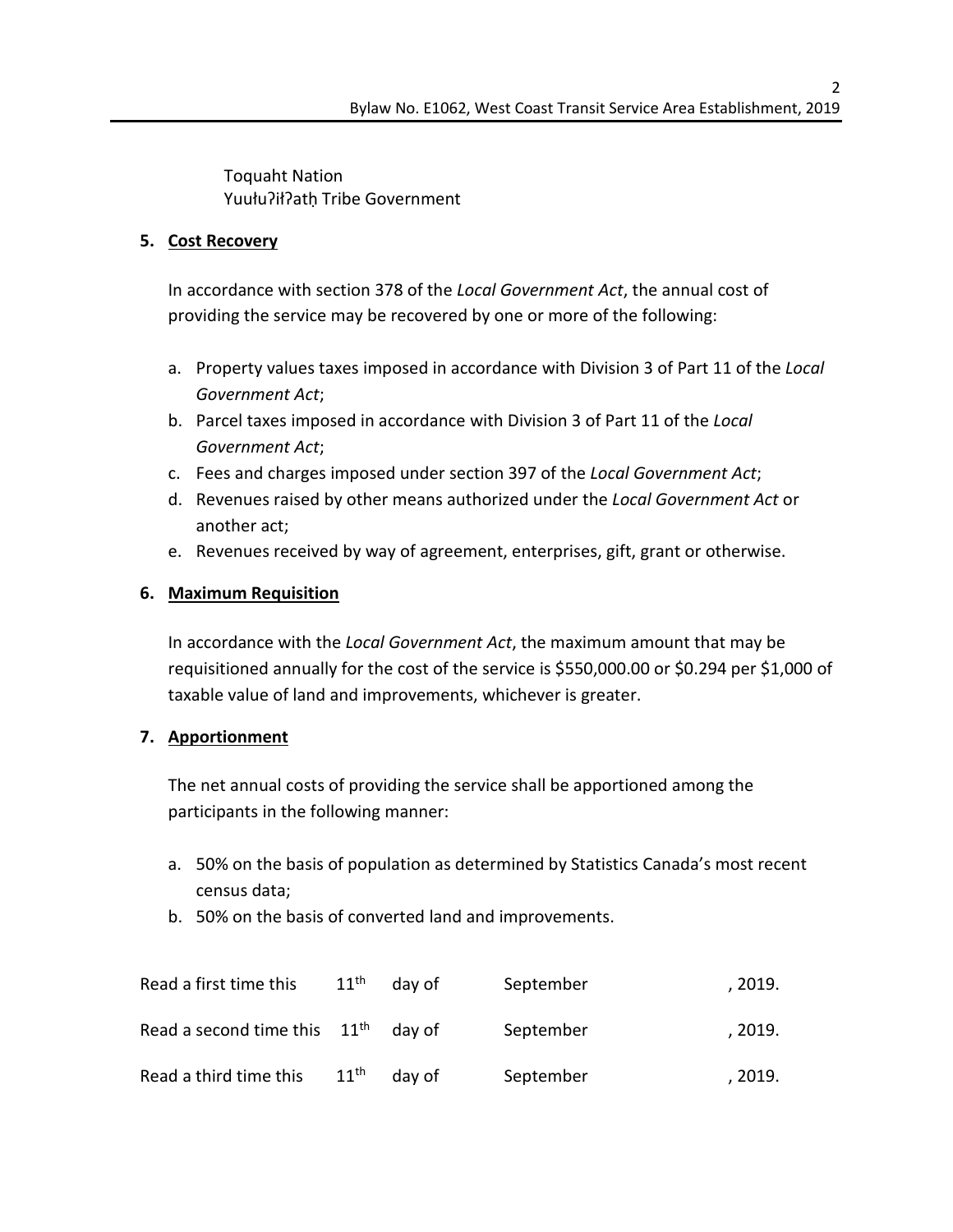Toquaht Nation Yuułuʔiłʔatḥ Tribe Government

## **5. Cost Recovery**

In accordance with section 378 of the *Local Government Act*, the annual cost of providing the service may be recovered by one or more of the following:

- a. Property values taxes imposed in accordance with Division 3 of Part 11 of the *Local Government Act*;
- b. Parcel taxes imposed in accordance with Division 3 of Part 11 of the *Local Government Act*;
- c. Fees and charges imposed under section 397 of the *Local Government Act*;
- d. Revenues raised by other means authorized under the *Local Government Act* or another act;
- e. Revenues received by way of agreement, enterprises, gift, grant or otherwise.

## **6. Maximum Requisition**

In accordance with the *Local Government Act*, the maximum amount that may be requisitioned annually for the cost of the service is \$550,000.00 or \$0.294 per \$1,000 of taxable value of land and improvements, whichever is greater.

#### **7. Apportionment**

The net annual costs of providing the service shall be apportioned among the participants in the following manner:

- a. 50% on the basis of population as determined by Statistics Canada's most recent census data;
- b. 50% on the basis of converted land and improvements.

| Read a first time this         | $11^{\text{th}}$ | day of | September | , 2019. |
|--------------------------------|------------------|--------|-----------|---------|
| Read a second time this $11th$ |                  | day of | September | , 2019. |
| Read a third time this         | $11^{th}$        | day of | September | , 2019. |